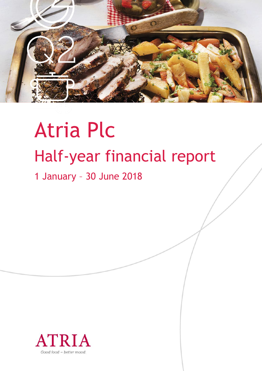

# Atria Plc Half-year financial report

# 1 January – 30 June 2018

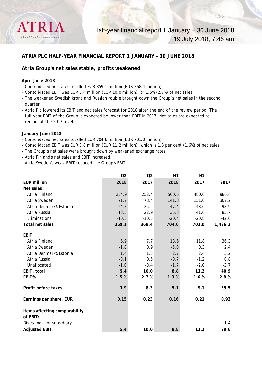

# **ATRIA PLC HALF-YEAR FINANCIAL REPORT 1 JANUARY – 30 JUNE 2018**

# **Atria Group's net sales stable, profits weakened**

#### **April–June 2018**

- Consolidated net sales totalled EUR 359.1 million (EUR 368.4 million).
- Consolidated EBIT was EUR 5.4 million (EUR 10.0 million), or 1.5% (2.7%) of net sales.
- The weakened Swedish krona and Russian rouble brought down the Group's net sales in the second quarter.
- Atria Plc lowered its EBIT and net sales forecast for 2018 after the end of the review period. The full-year EBIT of the Group is expected be lower than EBIT in 2017. Net sales are expected to remain at the 2017 level.

#### **January–June 2018**

- Consolidated net sales totalled EUR 704.6 million (EUR 701.0 million).
- Consolidated EBIT was EUR 8.8 million (EUR 11.2 million), which is 1.3 per cent (1.6%) of net sales.
- The Group's net sales were brought down by weakened exchange rates.
- Atria Finland's net sales and EBIT increased.
- Atria Sweden's weak EBIT reduced the Group's EBIT.

|                                           | Q2      | Q2      | H1      | H1      |         |
|-------------------------------------------|---------|---------|---------|---------|---------|
| <b>EUR million</b>                        | 2018    | 2017    | 2018    | 2017    | 2017    |
| Net sales                                 |         |         |         |         |         |
| Atria Finland                             | 254.9   | 252.4   | 500.5   | 480.6   | 986.4   |
| Atria Sweden                              | 71.7    | 78.4    | 141.3   | 151.0   | 307.2   |
| Atria Denmark&Estonia                     | 24.3    | 25.2    | 47.4    | 48.6    | 98.9    |
| Atria Russia                              | 18.5    | 22.9    | 35.8    | 41.6    | 85.7    |
| Eliminations                              | $-10.3$ | $-10.5$ | $-20.4$ | $-20.8$ | $-42.0$ |
| Total net sales                           | 359.1   | 368.4   | 704.6   | 701.0   | 1,436.2 |
| <b>EBIT</b>                               |         |         |         |         |         |
| Atria Finland                             | 6.9     | 7.7     | 13.6    | 11.8    | 36.3    |
| Atria Sweden                              | $-1.8$  | 0.9     | $-5.0$  | 0.3     | 2.4     |
| Atria Denmark&Estonia                     | 1.4     | 1.3     | 2.7     | 2.4     | 5.2     |
| Atria Russia                              | $-0.1$  | 0.5     | $-0.7$  | $-1.2$  | 0.8     |
| Unallocated                               | $-1.0$  | $-0.4$  | $-1.7$  | $-2.0$  | $-3.7$  |
| EBIT, total                               | 5.4     | 10.0    | 8.8     | 11.2    | 40.9    |
| EBIT%                                     | 1.5%    | 2.7%    | 1.3%    | 1.6%    | 2.8%    |
|                                           |         |         |         |         |         |
| Profit before taxes                       | 3.9     | 8.3     | 5.1     | 9.1     | 35.5    |
| Earnings per share, EUR                   | 0.15    | 0.23    | 0.16    | 0.21    | 0.92    |
| Items affecting comparability<br>of EBIT: |         |         |         |         |         |
| Divestment of subsidiary                  |         |         |         |         | 1.4     |
| <b>Adjusted EBIT</b>                      | 5.4     | 10.0    | 8.8     | 11.2    | 39.6    |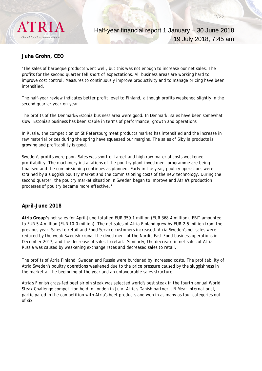

# **Juha Gröhn, CEO**

"The sales of barbeque products went well, but this was not enough to increase our net sales. The profits for the second quarter fell short of expectations. All business areas are working hard to improve cost control. Measures to continuously improve productivity and to manage pricing have been intensified.

The half-year review indicates better profit level to Finland, although profits weakened slightly in the second quarter year-on-year.

The profits of the Denmark&Estonia business area were good. In Denmark, sales have been somewhat slow. Estonia's business has been stable in terms of performance, growth and operations.

In Russia, the competition on St Petersburg meat products market has intensified and the increase in raw material prices during the spring have squeezed our margins. The sales of Sibylla products is growing and profitability is good.

Sweden's profits were poor. Sales was short of target and high raw material costs weakened profitability. The machinery installations of the poultry plant investment programme are being finalised and the commissioning continues as planned. Early in the year, poultry operations were strained by a sluggish poultry market and the commissioning costs of the new technology. During the second quarter, the poultry market situation in Sweden began to improve and Atria's production processes of poultry became more effective."

# **April–June 2018**

**Atria Group's** net sales for April–June totalled EUR 359.1 million (EUR 368.4 million). EBIT amounted to EUR 5.4 million (EUR 10.0 million). The net sales of Atria Finland grew by EUR 2.5 million from the previous year. Sales to retail and Food Service customers increased. Atria Sweden's net sales were reduced by the weak Swedish krona, the divestment of the Nordic Fast Food business operations in December 2017, and the decrease of sales to retail. Similarly, the decrease in net sales of Atria Russia was caused by weakening exchange rates and decreased sales to retail.

The profits of Atria Finland, Sweden and Russia were burdened by increased costs. The profitability of Atria Sweden's poultry operations weakened due to the price pressure caused by the sluggishness in the market at the beginning of the year and an unfavourable sales structure.

Atria's Finnish grass-fed beef sirloin steak was selected world's best steak in the fourth annual World Steak Challenge competition held in London in July. Atria's Danish partner, JN Meat International, participated in the competition with Atria's beef products and won in as many as four categories out of six.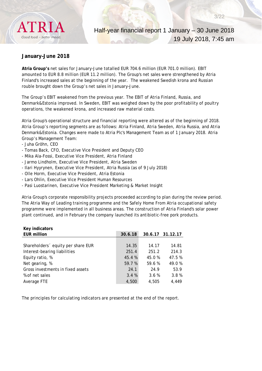

### **January–June 2018**

**Atria Group's** net sales for January–June totalled EUR 704.6 million (EUR 701.0 million). EBIT amounted to EUR 8.8 million (EUR 11.2 million). The Group's net sales were strengthened by Atria Finland's increased sales at the beginning of the year. The weakened Swedish krona and Russian rouble brought down the Group's net sales in January–June.

The Group's EBIT weakened from the previous year. The EBIT of Atria Finland, Russia, and Denmark&Estonia improved. In Sweden, EBIT was weighed down by the poor profitability of poultry operations, the weakened krona, and increased raw material costs.

Atria Group's operational structure and financial reporting were altered as of the beginning of 2018. Atria Group's reporting segments are as follows: Atria Finland, Atria Sweden, Atria Russia, and Atria Denmark&Estonia. Changes were made to Atria Plc's Management Team as of 1 January 2018. Atria Group's Management Team:

- Juha Gröhn, CEO

**Key indicators** 

- Tomas Back, CFO, Executive Vice President and Deputy CEO
- Mika Ala-Fossi, Executive Vice President, Atria Finland
- Jarmo Lindholm, Executive Vice President, Atria Sweden
- Ilari Hyyrynen, Executive Vice President, Atria Russia (as of 9 July 2018)
- Olle Horm, Executive Vice President, Atria Estonia
- Lars Ohlin, Executive Vice President Human Resources
- Pasi Luostarinen, Executive Vice President Marketing & Market Insight

Atria Group's corporate responsibility projects proceeded according to plan during the review period. The Atria Way of Leading training programme and the Safely Home From Atria occupational safety programme were implemented in all business areas. The construction of Atria Finland's solar power plant continued, and in February the company launched its antibiotic-free pork products.

| <b>Key Indicators</b>              |         |        |                  |
|------------------------------------|---------|--------|------------------|
| <b>EUR million</b>                 | 30.6.18 |        | 30.6.17 31.12.17 |
|                                    |         |        |                  |
| Shareholders 'equity per share EUR | 14.35   | 14.17  | 14.81            |
| Interest-bearing liabilities       | 251.4   | 251.2  | 214.3            |
| Equity ratio, %                    | 45.4%   | 45.0 % | 47.5 %           |
| Net gearing, %                     | 59.7 %  | 59.6%  | 49.0%            |
| Gross investments in fixed assets  | 24.1    | 24.9   | 53.9             |
| % of net sales                     | 3.4%    | 3.6%   | 3.8%             |
| Average FTE                        | 4,500   | 4.505  | 4,449            |
|                                    |         |        |                  |

The principles for calculating indicators are presented at the end of the report.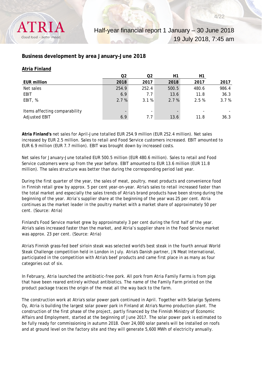

# **Business development by area January–June 2018**

#### **Atria Finland**

|                               | Q2    | Q2                       | Η1    | Η1    |       |
|-------------------------------|-------|--------------------------|-------|-------|-------|
| <b>EUR million</b>            | 2018  | 2017                     | 2018  | 2017  | 2017  |
| Net sales                     | 254.9 | 252.4                    | 500.5 | 480.6 | 986.4 |
| <b>EBIT</b>                   | 6.9   | 7.7                      | 13.6  | 11.8  | 36.3  |
| EBIT, %                       | 2.7%  | 3.1%                     | 2.7%  | 2.5%  | 3.7%  |
|                               |       |                          |       |       |       |
| Items affecting comparability |       | $\overline{\phantom{a}}$ |       |       |       |
| Adjusted EBIT                 | 6.9   | 7.7                      | 13.6  | 11.8  | 36.3  |

**Atria Finland's** net sales for April–June totalled EUR 254.9 million (EUR 252.4 million). Net sales increased by EUR 2.5 million. Sales to retail and Food Service customers increased. EBIT amounted to EUR 6.9 million (EUR 7.7 million). EBIT was brought down by increased costs.

Net sales for January–June totalled EUR 500.5 million (EUR 480.6 million). Sales to retail and Food Service customers were up from the year before. EBIT amounted to EUR 13.6 million (EUR 11.8 million). The sales structure was better than during the corresponding period last year.

During the first quarter of the year, the sales of meat, poultry, meat products and convenience food in Finnish retail grew by approx. 5 per cent year-on-year. Atria's sales to retail increased faster than the total market and especially the sales trends of Atria's brand products have been strong during the beginning of the year. Atria's supplier share at the beginning of the year was 25 per cent. Atria continues as the market leader in the poultry market with a market share of approximately 50 per cent. (Source: Atria)

Finland's Food Service market grew by approximately 3 per cent during the first half of the year. Atria's sales increased faster than the market, and Atria's supplier share in the Food Service market was approx. 23 per cent. (Source: Atria)

Atria's Finnish grass-fed beef sirloin steak was selected world's best steak in the fourth annual World Steak Challenge competition held in London in July. Atria's Danish partner, JN Meat International, participated in the competition with Atria's beef products and came first place in as many as four categories out of six.

In February, Atria launched the antibiotic-free pork. All pork from Atria Family Farms is from pigs that have been reared entirely without antibiotics. The name of the Family Farm printed on the product package traces the origin of the meat all the way back to the farm.

The construction work at Atria's solar power park continued in April. Together with Solarigo Systems Oy, Atria is building the largest solar power park in Finland at Atria's Nurmo production plant. The construction of the first phase of the project, partly financed by the Finnish Ministry of Economic Affairs and Employment, started at the beginning of June 2017. The solar power park is estimated to be fully ready for commissioning in autumn 2018. Over 24,000 solar panels will be installed on roofs and at ground level on the factory site and they will generate 5,600 MWh of electricity annually.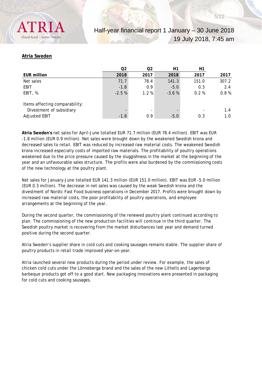# **Atria Sweden**

|                                | Q <sub>2</sub> | Q2                       | Η1      | Η1                       |       |
|--------------------------------|----------------|--------------------------|---------|--------------------------|-------|
| EUR million                    | 2018           | 2017                     | 2018    | 2017                     | 2017  |
| Net sales                      | 71.7           | 78.4                     | 141.3   | 151.0                    | 307.2 |
| EBIT                           | $-1.8$         | 0.9                      | $-5.0$  | 0.3                      | 2.4   |
| EBIT, %                        | $-2.5%$        | $1.2 \%$                 | $-3.6%$ | 0.2%                     | 0.8%  |
| Items affecting comparability: |                |                          |         |                          |       |
| Divestment of subsidiary       |                | $\overline{\phantom{0}}$ |         | $\overline{\phantom{0}}$ | 1.4   |
| <b>Adjusted EBIT</b>           | $-1.8$         | 0.9                      | $-5.0$  | 0.3                      | 1.0   |

**Atria Sweden's** net sales for April–June totalled EUR 71.7 million (EUR 78.4 million). EBIT was EUR -1.8 million (EUR 0.9 million). Net sales were brought down by the weakened Swedish krona and decreased sales to retail. EBIT was reduced by increased raw material costs. The weakened Swedish krona increased especially costs of imported raw materials. The profitability of poultry operations weakened due to the price pressure caused by the sluggishness in the market at the beginning of the year and an unfavourable sales structure. The profits were also burdened by the commissioning costs of the new technology at the poultry plant.

Net sales for January–June totalled EUR 141.3 million (EUR 151.0 million). EBIT was EUR -5.0 million (EUR 0.3 million). The decrease in net sales was caused by the weak Swedish krona and the divestment of Nordic Fast Food business operations in December 2017. Profits were brought down by increased raw material costs, the poor profitability of poultry operations, and employee arrangements at the beginning of the year.

During the second quarter, the commissioning of the renewed poultry plant continued according to plan. The commissioning of the new production facilities will continue in the third quarter. The Swedish poultry market is recovering from the market disturbances last year and demand turned positive during the second quarter.

Atria Sweden's supplier share in cold cuts and cooking sausages remains stable. The supplier share of poultry products in retail trade improved year-on-year.

Atria launched several new products during the period under review. For example, the sales of chicken cold cuts under the Lönneberga brand and the sales of the new Lithells and Lagerbergs barbeque products got off to a good start. New packaging innovations were presented in packaging for cold cuts and cooking sausages.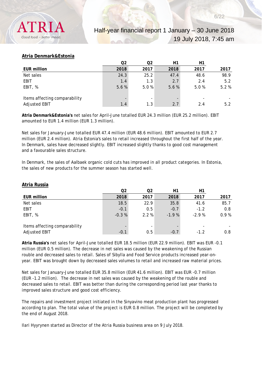# **Atria Denmark&Estonia**

|                               | Q2   | Q2   | H1   | Η1   |      |
|-------------------------------|------|------|------|------|------|
| <b>EUR million</b>            | 2018 | 2017 | 2018 | 2017 | 2017 |
| Net sales                     | 24.3 | 25.2 | 47.4 | 48.6 | 98.9 |
| EBIT                          | 1.4  | 1.3  | 2.7  | 2.4  | 5.2  |
| EBIT, %                       | 5.6% | 5.0% | 5.6% | 5.0% | 5.2% |
|                               |      |      |      |      |      |
| Items affecting comparability |      |      |      |      |      |
| <b>Adjusted EBIT</b>          | 1.4  | 1.3  | 2.7  | 2.4  | 5.2  |

**Atria Denmark&Estonia's** net sales for April–June totalled EUR 24.3 million (EUR 25.2 million). EBIT amounted to EUR 1.4 million (EUR 1.3 million).

Net sales for January–June totalled EUR 47.4 million (EUR 48.6 million). EBIT amounted to EUR 2.7 million (EUR 2.4 million). Atria Estonia's sales to retail increased throughout the first half of the year. In Denmark, sales have decreased slightly. EBIT increased slightly thanks to good cost management and a favourable sales structure.

In Denmark, the sales of Aalbaek organic cold cuts has improved in all product categories. In Estonia, the sales of new products for the summer season has started well.

|                               | Q2      | Q2   | H1      | H1      |      |
|-------------------------------|---------|------|---------|---------|------|
| <b>EUR million</b>            | 2018    | 2017 | 2018    | 2017    | 2017 |
| Net sales                     | 18.5    | 22.9 | 35.8    | 41.6    | 85.7 |
| EBIT                          | $-0.1$  | 0.5  | $-0.7$  | $-1.2$  | 0.8  |
| EBIT, %                       | $-0.3%$ | 2.2% | $-1.9%$ | $-2.9%$ | 0.9% |
|                               |         |      |         |         |      |
| Items affecting comparability |         |      |         |         |      |
| <b>Adjusted EBIT</b>          | $-0.1$  | 0.5  | $-0.7$  | $-1.2$  | 0.8  |

#### **Atria Russia**

**Atria Russia's** net sales for April–June totalled EUR 18.5 million (EUR 22.9 million). EBIT was EUR -0.1 million (EUR 0.5 million). The decrease in net sales was caused by the weakening of the Russian rouble and decreased sales to retail. Sales of Sibylla and Food Service products increased year-onyear. EBIT was brought down by decreased sales volumes to retail and increased raw material prices.

Net sales for January–June totalled EUR 35.8 million (EUR 41.6 million). EBIT was EUR -0.7 million (EUR -1.2 million). The decrease in net sales was caused by the weakening of the rouble and decreased sales to retail. EBIT was better than during the corresponding period last year thanks to improved sales structure and good cost efficiency.

The repairs and investment project initiated in the Sinyavino meat production plant has progressed according to plan. The total value of the project is EUR 0.8 million. The project will be completed by the end of August 2018.

Ilari Hyyrynen started as Director of the Atria Russia business area on 9 July 2018.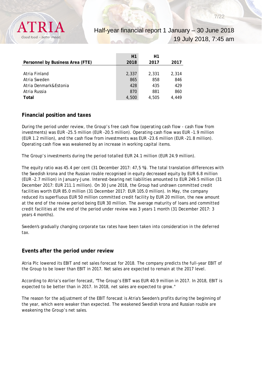

|                                  | H1    | Η1    |       |
|----------------------------------|-------|-------|-------|
| Personnel by Business Area (FTE) | 2018  | 2017  | 2017  |
|                                  |       |       |       |
| Atria Finland                    | 2,337 | 2.331 | 2.314 |
| Atria Sweden                     | 865   | 858   | 846   |
| Atria Denmark&Estonia            | 428   | 435   | 429   |
| Atria Russia                     | 870   | 881   | 860   |
| Total                            | 4,500 | 4,505 | 4.449 |

# **Financial position and taxes**

During the period under review, the Group's free cash flow (operating cash flow - cash flow from investments) was EUR -25.5 million (EUR -20.5 million). Operating cash flow was EUR -1.9 million (EUR 1.2 million), and the cash flow from investments was EUR -23.6 million (EUR -21.8 million). Operating cash flow was weakened by an increase in working capital items.

The Group's investments during the period totalled EUR 24.1 million (EUR 24.9 million).

The equity ratio was 45.4 per cent (31 December 2017: 47,5 %). The total translation differences with the Swedish krona and the Russian rouble recognised in equity decreased equity by EUR 6.8 million (EUR -2.7 million) in January-June. Interest-bearing net liabilities amounted to EUR 249.5 million (31 December 2017: EUR 211.1 million). On 30 June 2018, the Group had undrawn committed credit facilities worth EUR 85.0 million (31 December 2017: EUR 105.0 million). In May, the company reduced its superfluous EUR 50 million committed credit facility by EUR 20 million, the new amount at the end of the review period being EUR 30 million. The average maturity of loans and committed credit facilities at the end of the period under review was 3 years 1 month (31 December 2017: 3 years 4 months).

Sweden's gradually changing corporate tax rates have been taken into consideration in the deferred tax.

# **Events after the period under review**

Atria Plc lowered its EBIT and net sales forecast for 2018. The company predicts the full-year EBIT of the Group to be lower than EBIT in 2017. Net sales are expected to remain at the 2017 level.

According to Atria's earlier forecast, "The Group's EBIT was EUR 40.9 million in 2017. In 2018, EBIT is expected to be better than in 2017. In 2018, net sales are expected to grow."

The reason for the adjustment of the EBIT forecast is Atria's Sweden's profits during the beginning of the year, which were weaker than expected. The weakened Swedish krona and Russian rouble are weakening the Group's net sales.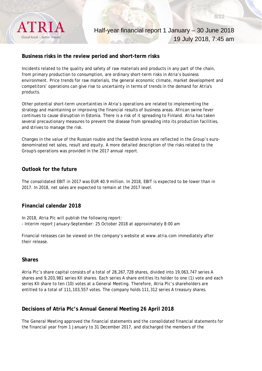

# **Business risks in the review period and short-term risks**

Incidents related to the quality and safety of raw materials and products in any part of the chain, from primary production to consumption, are ordinary short-term risks in Atria's business environment. Price trends for raw materials, the general economic climate, market development and competitors' operations can give rise to uncertainty in terms of trends in the demand for Atria's products.

Other potential short-term uncertainties in Atria's operations are related to implementing the strategy and maintaining or improving the financial results of business areas. African swine fever continues to cause disruption in Estonia. There is a risk of it spreading to Finland. Atria has taken several precautionary measures to prevent the disease from spreading into its production facilities, and strives to manage the risk.

Changes in the value of the Russian rouble and the Swedish krona are reflected in the Group's eurodenominated net sales, result and equity. A more detailed description of the risks related to the Group's operations was provided in the 2017 annual report.

# **Outlook for the future**

The consolidated EBIT in 2017 was EUR 40.9 million. In 2018, EBIT is expected to be lower than in 2017. In 2018, net sales are expected to remain at the 2017 level.

# **Financial calendar 2018**

In 2018, Atria Plc will publish the following report: - Interim report January–September: 25 October 2018 at approximately 8:00 am

Financial releases can be viewed on the company's website at www.atria.com immediately after their release.

### **Shares**

Atria Plc's share capital consists of a total of 28,267,728 shares, divided into 19,063,747 series A shares and 9,203,981 series KII shares. Each series A share entitles its holder to one (1) vote and each series KII share to ten (10) votes at a General Meeting. Therefore, Atria Plc's shareholders are entitled to a total of 111,103,557 votes. The company holds 111,312 series A treasury shares.

# **Decisions of Atria Plc's Annual General Meeting 26 April 2018**

The General Meeting approved the financial statements and the consolidated financial statements for the financial year from 1 January to 31 December 2017, and discharged the members of the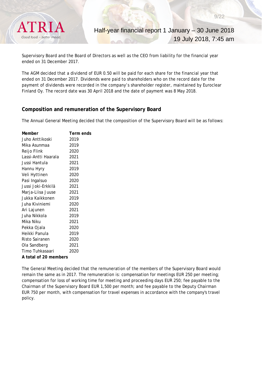

Supervisory Board and the Board of Directors as well as the CEO from liability for the financial year ended on 31 December 2017.

The AGM decided that a dividend of EUR 0.50 will be paid for each share for the financial year that ended on 31 December 2017. Dividends were paid to shareholders who on the record date for the payment of dividends were recorded in the company's shareholder register, maintained by Euroclear Finland Oy. The record date was 30 April 2018 and the date of payment was 8 May 2018.

# **Composition and remuneration of the Supervisory Board**

The Annual General Meeting decided that the composition of the Supervisory Board will be as follows:

| Member                | Term ends |
|-----------------------|-----------|
| Juho Anttikoski       | 2019      |
| Mika Asunmaa          | 2019      |
| Reijo Flink           | 2020      |
| Lassi-Antti Haarala   | 2021      |
| Jussi Hantula         | 2021      |
| Hannu Hyry            | 2019      |
| Veli Hyttinen         | 2020      |
| Pasi Ingalsuo         | 2020      |
| Jussi Joki-Erkkilä    | 2021      |
| Marja-Liisa Juuse     | 2021      |
| Jukka Kaikkonen       | 2019      |
| Juha Kiviniemi        | 2020      |
| Ari Lajunen           | 2021      |
| Juha Nikkola          | 2019      |
| Mika Niku             | 2021      |
| Pekka Ojala           | 2020      |
| Heikki Panula         | 2019      |
| Risto Sairanen        | 2020      |
| Ola Sandberg          | 2021      |
| Timo Tuhkasaari       | 2020      |
| A total of 20 members |           |

The General Meeting decided that the remuneration of the members of the Supervisory Board would remain the same as in 2017. The remuneration is: compensation for meetings EUR 250 per meeting; compensation for loss of working time for meeting and proceeding days EUR 250; fee payable to the Chairman of the Supervisory Board EUR 1,500 per month; and fee payable to the Deputy Chairman EUR 750 per month, with compensation for travel expenses in accordance with the company's travel policy.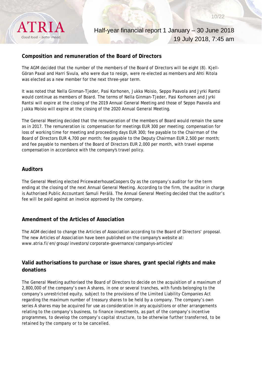

# **Composition and remuneration of the Board of Directors**

The AGM decided that the number of the members of the Board of Directors will be eight (8). Kjell-Göran Paxal and Harri Sivula, who were due to resign, were re-elected as members and Ahti Ritola was elected as a new member for the next three-year term.

It was noted that Nella Ginman-Tjeder, Pasi Korhonen, Jukka Moisio, Seppo Paavola and Jyrki Rantsi would continue as members of Board. The terms of Nella Ginman-Tjeder, Pasi Korhonen and Jyrki Rantsi will expire at the closing of the 2019 Annual General Meeting and those of Seppo Paavola and Jukka Moisio will expire at the closing of the 2020 Annual General Meeting.

The General Meeting decided that the remuneration of the members of Board would remain the same as in 2017. The remuneration is: compensation for meetings EUR 300 per meeting; compensation for loss of working time for meeting and proceeding days EUR 300; fee payable to the Chairman of the Board of Directors EUR 4,700 per month; fee payable to the Deputy Chairman EUR 2,500 per month; and fee payable to members of the Board of Directors EUR 2,000 per month, with travel expense compensation in accordance with the company's travel policy.

# **Auditors**

The General Meeting elected PricewaterhouseCoopers Oy as the company's auditor for the term ending at the closing of the next Annual General Meeting. According to the firm, the auditor in charge is Authorised Public Accountant Samuli Perälä. The Annual General Meeting decided that the auditor's fee will be paid against an invoice approved by the company.

# **Amendment of the Articles of Association**

The AGM decided to change the Articles of Association according to the Board of Directors' proposal. The new Articles of Association have been published on the company's website at: www.atria.fi/en/group/investors/corporate-governance/companys-articles/

# **Valid authorisations to purchase or issue shares, grant special rights and make donations**

The General Meeting authorised the Board of Directors to decide on the acquisition of a maximum of 2,800,000 of the company's own A shares, in one or several tranches, with funds belonging to the company's unrestricted equity, subject to the provisions of the Limited Liability Companies Act regarding the maximum number of treasury shares to be held by a company. The company's own series A shares may be acquired for use as consideration in any acquisitions or other arrangements relating to the company's business, to finance investments, as part of the company's incentive programmes, to develop the company's capital structure, to be otherwise further transferred, to be retained by the company or to be cancelled.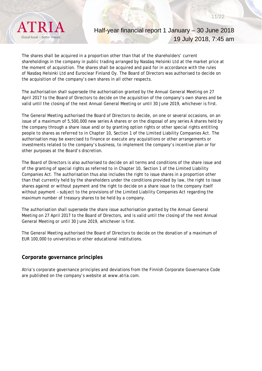

# Half-year financial report 1 January – 30 June 2018 19 July 2018, 7:45 am

The shares shall be acquired in a proportion other than that of the shareholders' current shareholdings in the company in public trading arranged by Nasdaq Helsinki Ltd at the market price at the moment of acquisition. The shares shall be acquired and paid for in accordance with the rules of Nasdaq Helsinki Ltd and Euroclear Finland Oy. The Board of Directors was authorised to decide on the acquisition of the company's own shares in all other respects.

The authorisation shall supersede the authorisation granted by the Annual General Meeting on 27 April 2017 to the Board of Directors to decide on the acquisition of the company's own shares and be valid until the closing of the next Annual General Meeting or until 30 June 2019, whichever is first.

The General Meeting authorised the Board of Directors to decide, on one or several occasions, on an issue of a maximum of 5,500,000 new series A shares or on the disposal of any series A shares held by the company through a share issue and/or by granting option rights or other special rights entitling people to shares as referred to in Chapter 10, Section 1 of the Limited Liability Companies Act. The authorisation may be exercised to finance or execute any acquisitions or other arrangements or investments related to the company's business, to implement the company's incentive plan or for other purposes at the Board's discretion.

The Board of Directors is also authorised to decide on all terms and conditions of the share issue and of the granting of special rights as referred to in Chapter 10, Section 1 of the Limited Liability Companies Act. The authorisation thus also includes the right to issue shares in a proportion other than that currently held by the shareholders under the conditions provided by law, the right to issue shares against or without payment and the right to decide on a share issue to the company itself without payment – subject to the provisions of the Limited Liability Companies Act regarding the maximum number of treasury shares to be held by a company.

The authorisation shall supersede the share issue authorisation granted by the Annual General Meeting on 27 April 2017 to the Board of Directors, and is valid until the closing of the next Annual General Meeting or until 30 June 2019, whichever is first.

The General Meeting authorised the Board of Directors to decide on the donation of a maximum of EUR 100,000 to universities or other educational institutions.

### **Corporate governance principles**

Atria's corporate governance principles and deviations from the Finnish Corporate Governance Code are published on the company's website at www.atria.com.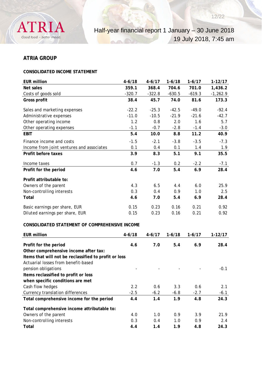

# **ATRIA GROUP**

# **CONSOLIDATED INCOME STATEMENT**

| <b>EUR million</b>                                    | $4 - 6/18$ | $4 - 6/17$ | $1-6/18$ | $1-6/17$   | $1 - 12/17$ |
|-------------------------------------------------------|------------|------------|----------|------------|-------------|
| <b>Net sales</b>                                      | 359.1      | 368.4      | 704.6    | 701.0      | 1,436.2     |
| Costs of goods sold                                   | $-320.7$   | $-322.8$   | $-630.5$ | $-619.3$   | $-1,262.9$  |
| Gross profit                                          | 38.4       | 45.7       | 74.0     | 81.6       | 173.3       |
| Sales and marketing expenses                          | $-22.2$    | $-25.3$    | $-42.5$  | $-49.0$    | $-92.4$     |
| Administrative expenses                               | $-11.0$    | $-10.5$    | $-21.9$  | $-21.6$    | $-42.7$     |
| Other operating income                                | 1.2        | 0.8        | 2.0      | 1.6        | 5.7         |
| Other operating expenses                              | $-1.1$     | $-0.7$     | $-2.8$   | $-1.4$     | $-3.0$      |
| <b>EBIT</b>                                           | 5.4        | 10.0       | 8.8      | 11.2       | 40.9        |
| Finance income and costs                              | $-1.5$     | $-2.1$     | $-3.8$   | $-3.5$     | $-7.3$      |
| Income from joint ventures and associates             | 0.1        | 0.4        | 0.1      | 1.4        | 1.9         |
| Profit before taxes                                   | 3.9        | 8.3        | 5.1      | 9.1        | 35.5        |
| Income taxes                                          | 0.7        | $-1.3$     | 0.2      | $-2.2$     | $-7.1$      |
| Profit for the period                                 | 4.6        | 7.0        | 5.4      | 6.9        | 28.4        |
| Profit attributable to:                               |            |            |          |            |             |
| Owners of the parent                                  | 4.3        | 6.5        | 4.4      | 6.0        | 25.9        |
| Non-controlling interests                             | 0.3        | 0.4        | 0.9      | 1.0        | 2.5         |
| Total                                                 | 4.6        | 7.0        | 5.4      | 6.9        | 28.4        |
| Basic earnings per share, EUR                         | 0.15       | 0.23       | 0.16     | 0.21       | 0.92        |
| Diluted earnings per share, EUR                       | 0.15       | 0.23       | 0.16     | 0.21       | 0.92        |
| CONSOLIDATED STATEMENT OF COMPREHENSIVE INCOME        |            |            |          |            |             |
| <b>EUR million</b>                                    | $4 - 6/18$ | $4 - 6/17$ | $1-6/18$ | $1 - 6/17$ | $1 - 12/17$ |
| Profit for the period                                 | 4.6        | 7.0        | 5.4      | 6.9        | 28.4        |
| Other comprehensive income after tax:                 |            |            |          |            |             |
| Items that will not be reclassified to profit or loss |            |            |          |            |             |
| Actuarial losses from benefit-based                   |            |            |          |            |             |
| pension obligations                                   |            |            |          |            | $-0.1$      |
| Items reclassified to profit or loss                  |            |            |          |            |             |
| when specific conditions are met                      |            |            |          |            |             |
| Cash flow hedges                                      | 2.2        | 0.6        | 3.3      | 0.6        | 2.1         |
| Currency translation differences                      | $-2.5$     | $-6.2$     | $-6.8$   | $-2.7$     | $-6.1$      |
| Total comprehensive income for the period             | 4.4        | 1.4        | 1.9      | 4.8        | 24.3        |
| Total comprehensive income attributable to:           |            |            |          |            |             |
| Owners of the parent                                  | 4.0        | 1.0        | 0.9      | 3.9        | 21.9        |
| Non-controlling interests                             | 0.3        | 0.4        | 1.0      | 0.9        | 2.4         |
| Total                                                 | 4.4        | 1.4        | 1.9      | 4.8        | 24.3        |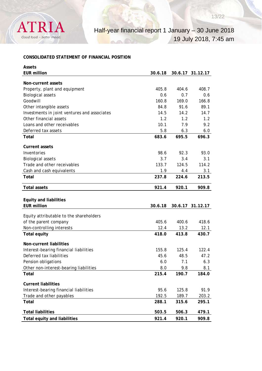

# **CONSOLIDATED STATEMENT OF FINANCIAL POSITION**

| <b>Assets</b>                                |         |       |                  |
|----------------------------------------------|---------|-------|------------------|
| <b>EUR million</b>                           | 30.6.18 |       | 30.6.17 31.12.17 |
| Non-current assets                           |         |       |                  |
| Property, plant and equipment                | 405.8   | 404.6 | 408.7            |
| <b>Biological assets</b>                     | 0.6     | 0.7   | 0.6              |
| Goodwill                                     | 160.8   | 169.0 | 166.8            |
| Other intangible assets                      | 84.8    | 91.6  | 89.1             |
| Investments in joint ventures and associates | 14.5    | 14.2  | 14.7             |
| Other financial assets                       | 1.2     | 1.2   | 1.2              |
| Loans and other receivables                  | 10.1    | 7.9   | 9.2              |
| Deferred tax assets                          | 5.8     | 6.3   | 6.0              |
| Total                                        | 683.6   | 695.5 | 696.3            |
|                                              |         |       |                  |
| <b>Current assets</b>                        |         |       |                  |
| Inventories                                  | 98.6    | 92.3  | 93.0             |
| <b>Biological assets</b>                     | 3.7     | 3.4   | 3.1              |
| Trade and other receivables                  | 133.7   | 124.5 | 114.2            |
| Cash and cash equivalents                    | 1.9     | 4.4   | 3.1              |
| Total                                        | 237.8   | 224.6 | 213.5            |
| <b>Total assets</b>                          | 921.4   | 920.1 | 909.8            |
|                                              |         |       |                  |
| <b>Equity and liabilities</b>                |         |       |                  |
| <b>EUR million</b>                           | 30.6.18 |       | 30.6.17 31.12.17 |
| Equity attributable to the shareholders      |         |       |                  |
| of the parent company                        | 405.6   | 400.6 | 418.6            |
| Non-controlling interests                    | 12.4    | 13.2  | 12.1             |
| <b>Total equity</b>                          | 418.0   | 413.8 | 430.7            |
| Non-current liabilities                      |         |       |                  |
| Interest-bearing financial liabilities       | 155.8   | 125.4 | 122.4            |
| Deferred tax liabilities                     | 45.6    | 48.5  | 47.2             |
| Pension obligations                          | 6.0     | 7.1   | 6.3              |
| Other non-interest-bearing liabilities       | 8.0     | 9.8   | 8.1              |
| Total                                        | 215.4   | 190.7 | 184.0            |
| <b>Current liabilities</b>                   |         |       |                  |
| Interest-bearing financial liabilities       | 95.6    | 125.8 | 91.9             |
| Trade and other payables                     | 192.5   | 189.7 | 203.2            |
| Total                                        | 288.1   | 315.6 | 295.1            |
| <b>Total liabilities</b>                     |         |       |                  |
|                                              | 503.5   | 506.3 | 479.1            |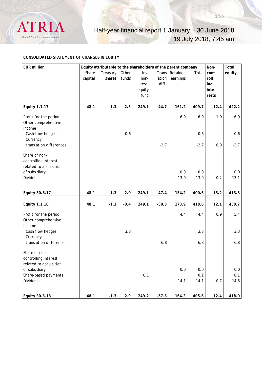

### **CONSOLIDATED STATEMENT OF CHANGES IN EQUITY**

| <b>EUR million</b>                                              |         |          |        |        |         | Equity attributable to the shareholders of the parent company |         | Non-   | Total   |
|-----------------------------------------------------------------|---------|----------|--------|--------|---------|---------------------------------------------------------------|---------|--------|---------|
|                                                                 | Share   | Treasury | Other  | Inv.   |         | Trans Retained                                                | Total   | cont   | equity  |
|                                                                 | capital | shares   | funds  | non-   | lation  | earnings                                                      |         | roll   |         |
|                                                                 |         |          |        | rest.  | diff.   |                                                               |         | ing    |         |
|                                                                 |         |          |        | equity |         |                                                               |         | inte   |         |
|                                                                 |         |          |        | fund   |         |                                                               |         | rests  |         |
| Equity 1.1.17                                                   | 48.1    | $-1.3$   | $-2.5$ | 249.1  | $-44.7$ | 161.2                                                         | 409.7   | 12.4   | 422.2   |
| Profit for the period<br>Other comprehensive<br>income          |         |          |        |        |         | $6.0$                                                         | 6.0     | 1.0    | 6.9     |
| Cash flow hedges<br>Currency                                    |         |          | 0.6    |        |         |                                                               | 0.6     |        | 0.6     |
| translation differences                                         |         |          |        |        | $-2.7$  |                                                               | $-2.7$  | 0.0    | $-2.7$  |
| Share of non-<br>controlling interest<br>related to acquisition |         |          |        |        |         |                                                               |         |        |         |
| of subsidiary                                                   |         |          |        |        |         | 0.0                                                           | 0.0     |        | 0.0     |
| <b>Dividends</b>                                                |         |          |        |        |         | $-13.0$                                                       | $-13.0$ | $-0.2$ | $-13.1$ |
| Equity 30.6.17                                                  | 48.1    | $-1.3$   | $-2.0$ | 249.1  | $-47.4$ | 154.2                                                         | 400.6   | 13.2   | 413.8   |
|                                                                 |         |          |        |        |         |                                                               |         |        |         |
| <b>Equity 1.1.18</b>                                            | 48.1    | $-1.3$   | $-0.4$ | 249.1  | $-50.8$ | 173.9                                                         | 418.6   | 12.1   | 430.7   |
| Profit for the period                                           |         |          |        |        |         | 4.4                                                           | 4.4     | 0.9    | 5.4     |
| Other comprehensive                                             |         |          |        |        |         |                                                               |         |        |         |
| income                                                          |         |          |        |        |         |                                                               |         |        |         |
| Cash flow hedges                                                |         |          | 3.3    |        |         |                                                               | 3.3     |        | 3.3     |
| Currency                                                        |         |          |        |        |         |                                                               |         |        |         |
| translation differences                                         |         |          |        |        | $-6.8$  |                                                               | $-6.8$  |        | $-6.8$  |
| Share of non-                                                   |         |          |        |        |         |                                                               |         |        |         |
| controlling interest                                            |         |          |        |        |         |                                                               |         |        |         |
| related to acquisition                                          |         |          |        |        |         |                                                               |         |        |         |
| of subsidiary                                                   |         |          |        |        |         | $0.0\,$                                                       | $0.0\,$ |        | $0.0\,$ |
| Share-based payments                                            |         |          |        | 0.1    |         |                                                               | 0.1     |        | 0.1     |
| Dividends                                                       |         |          |        |        |         | $-14.1$                                                       | $-14.1$ | $-0.7$ | $-14.8$ |
|                                                                 |         |          |        |        |         |                                                               |         |        |         |
| Equity 30.6.18                                                  | 48.1    | $-1.3$   | 2.9    | 249.2  | $-57.6$ | 164.3                                                         | 405.6   | 12.4   | 418.0   |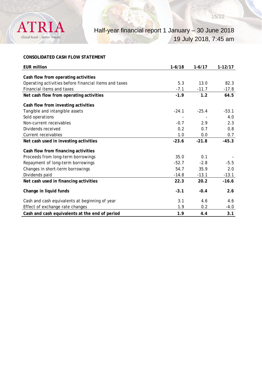

# **CONSOLIDATED CASH FLOW STATEMENT**

| <b>EUR million</b>                                    | $1-6/18$ | $1-6/17$ | $1-12/17$ |
|-------------------------------------------------------|----------|----------|-----------|
|                                                       |          |          |           |
| Cash flow from operating activities                   |          |          |           |
| Operating activities before financial items and taxes | 5.3      | 13.0     | 82.3      |
| Financial items and taxes                             | $-7.1$   | $-11.7$  | $-17.8$   |
| Net cash flow from operating activities               | $-1.9$   | 1.2      | 64.5      |
| Cash flow from investing activities                   |          |          |           |
| Tangible and intangible assets                        | $-24.1$  | $-25.4$  | $-53.1$   |
| Sold operations                                       |          |          | 4.0       |
| Non-current receivables                               | $-0.7$   | 2.9      | 2.3       |
| Dividends received                                    | 0.2      | 0.7      | 0.8       |
| Current receivables                                   | 1.0      | 0.0      | 0.7       |
| Net cash used in investing activities                 | $-23.6$  | $-21.8$  | $-45.3$   |
| Cash flow from financing activities                   |          |          |           |
| Proceeds from long-term borrowings                    | 35.0     | 0.1      |           |
| Repayment of long-term borrowings                     | $-52.7$  | $-2.8$   | $-5.5$    |
| Changes in short-term borrowings                      | 54.7     | 35.9     | 2.0       |
| Dividends paid                                        | $-14.8$  | $-13.1$  | $-13.1$   |
| Net cash used in financing activities                 | 22.3     | 20.2     | $-16.6$   |
| Change in liquid funds                                | $-3.1$   | $-0.4$   | 2.6       |
| Cash and cash equivalents at beginning of year        | 3.1      | 4.6      | 4.6       |
| Effect of exchange rate changes                       | 1.9      | 0.2      | $-4.0$    |
| Cash and cash equivalents at the end of period        | 1.9      | 4.4      | 3.1       |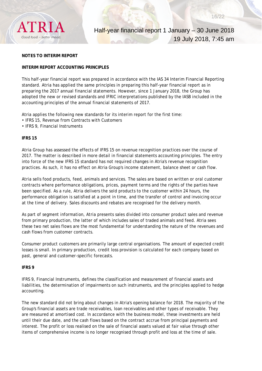

#### **NOTES TO INTERIM REPORT**

#### **INTERIM REPORT ACCOUNTING PRINCIPLES**

This half-year financial report was prepared in accordance with the IAS 34 Interim Financial Reporting standard. Atria has applied the same principles in preparing this half-year financial report as in preparing the 2017 annual financial statements. However, since 1 January 2018, the Group has adopted the new or revised standards and IFRIC interpretations published by the IASB included in the accounting principles of the annual financial statements of 2017.

Atria applies the following new standards for its interim report for the first time:

- IFRS 15, Revenue from Contracts with Customers
- IFRS 9, Financial Instruments

#### **IFRS 15**

Atria Group has assessed the effects of IFRS 15 on revenue recognition practices over the course of 2017. The matter is described in more detail in financial statements accounting principles. The entry into force of the new IFRS 15 standard has not required changes in Atria's revenue recognition practices. As such, it has no effect on Atria Group's income statement, balance sheet or cash flow.

Atria sells food products, feed, animals and services. The sales are based on written or oral customer contracts where performance obligations, prices, payment terms and the rights of the parties have been specified. As a rule, Atria delivers the sold products to the customer within 24 hours, the performance obligation is satisfied at a point in time, and the transfer of control and invoicing occur at the time of delivery. Sales discounts and rebates are recognised for the delivery month.

As part of segment information, Atria presents sales divided into consumer product sales and revenue from primary production, the latter of which includes sales of traded animals and feed. Atria sees these two net sales flows are the most fundamental for understanding the nature of the revenues and cash flows from customer contracts.

Consumer product customers are primarily large central organisations. The amount of expected credit losses is small. In primary production, credit loss provision is calculated for each company based on past, general and customer-specific forecasts.

#### **IFRS 9**

IFRS 9, Financial Instruments, defines the classification and measurement of financial assets and liabilities, the determination of impairments on such instruments, and the principles applied to hedge accounting.

The new standard did not bring about changes in Atria's opening balance for 2018. The majority of the Group's financial assets are trade receivables, loan receivables and other types of receivable. They are measured at amortised cost. In accordance with the business model, these investments are held until their due date, and the cash flows based on the contract accrue from principal payments and interest. The profit or loss realised on the sale of financial assets valued at fair value through other items of comprehensive income is no longer recognised through profit and loss at the time of sale.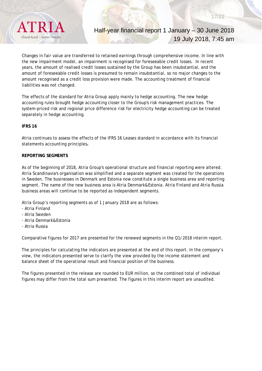

# Half-year financial report 1 January – 30 June 2018 19 July 2018, 7:45 am

Changes in fair value are transferred to retained earnings through comprehensive income. In line with the new impairment model, an impairment is recognised for foreseeable credit losses. In recent years, the amount of realised credit losses sustained by the Group has been insubstantial, and the amount of foreseeable credit losses is presumed to remain insubstantial, so no major changes to the amount recognised as a credit loss provision were made. The accounting treatment of financial liabilities was not changed.

The effects of the standard for Atria Group apply mainly to hedge accounting. The new hedge accounting rules brought hedge accounting closer to the Group's risk management practices. The system-priced risk and regional price difference risk for electricity hedge accounting can be treated separately in hedge accounting.

#### **IFRS 16**

Atria continues to assess the effects of the IFRS 16 Leases standard in accordance with its financial statements accounting principles**.**

#### **REPORTING SEGMENTS**

As of the beginning of 2018, Atria Group's operational structure and financial reporting were altered. Atria Scandinavia's organisation was simplified and a separate segment was created for the operations in Sweden. The businesses in Denmark and Estonia now constitute a single business area and reporting segment. The name of the new business area is Atria Denmark&Estonia. Atria Finland and Atria Russia business areas will continue to be reported as independent segments.

Atria Group's reporting segments as of 1 January 2018 are as follows:

- Atria Finland
- Atria Sweden
- Atria Denmark&Estonia
- Atria Russia

Comparative figures for 2017 are presented for the renewed segments in the Q1/2018 interim report.

The principles for calculating the indicators are presented at the end of this report. In the company's view, the indicators presented serve to clarify the view provided by the income statement and balance sheet of the operational result and financial position of the business.

The figures presented in the release are rounded to EUR million, so the combined total of individual figures may differ from the total sum presented. The figures in this interim report are unaudited.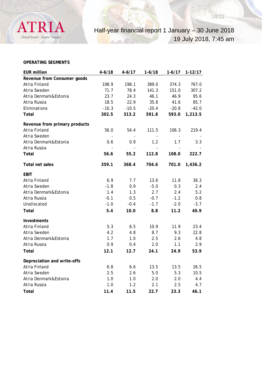

#### **OPERATING SEGMENTS**

| <b>EUR million</b>            | $4 - 6/18$ | $4 - 6/17$ | $1-6/18$ | $1 - 6/17$ | $1 - 12/17$ |
|-------------------------------|------------|------------|----------|------------|-------------|
| Revenue from Consumer goods   |            |            |          |            |             |
| Atria Finland                 | 198.9      | 198.1      | 389.0    | 374.3      | 767.0       |
| Atria Sweden                  | 71.7       | 78.4       | 141.3    | 151.0      | 307.2       |
| Atria Denmark&Estonia         | 23.7       | 24.3       | 46.1     | 46.9       | 95.6        |
| Atria Russia                  | 18.5       | 22.9       | 35.8     | 41.6       | 85.7        |
| Eliminations                  | $-10.3$    | $-10.5$    | $-20.4$  | $-20.8$    | $-42.0$     |
| Total                         | 302.5      | 313.2      | 591.8    | 593.0      | 1,213.5     |
| Revenue from primary products |            |            |          |            |             |
| Atria Finland                 | 56.0       | 54.4       | 111.5    | 106.3      | 219.4       |
| Atria Sweden                  |            |            |          |            |             |
| Atria Denmark&Estonia         | 0.6        | 0.9        | 1.2      | 1.7        | 3.3         |
| Atria Russia                  |            |            |          |            |             |
| Total                         | 56.6       | 55.2       | 112.8    | 108.0      | 222.7       |
| <b>Total net sales</b>        | 359.1      | 368.4      | 704.6    | 701.0      | 1,436.2     |
| <b>EBIT</b>                   |            |            |          |            |             |
| Atria Finland                 | 6.9        | 7.7        | 13.6     | 11.8       | 36.3        |
| Atria Sweden                  | $-1.8$     | 0.9        | $-5.0$   | 0.3        | 2.4         |
| Atria Denmark&Estonia         | 1.4        | 1.3        | 2.7      | 2.4        | 5.2         |
| Atria Russia                  | $-0.1$     | 0.5        | $-0.7$   | $-1.2$     | 0.8         |
| Unallocated                   | $-1.0$     | $-0.4$     | $-1.7$   | $-2.0$     | $-3.7$      |
| Total                         | 5.4        | 10.0       | 8.8      | 11.2       | 40.9        |
| Investments                   |            |            |          |            |             |
| Atria Finland                 | 5.3        | 6.5        | 10.9     | 11.9       | 23.4        |
| Atria Sweden                  | 4.2        | 4.8        | 8.7      | 9.3        | 22.8        |
| Atria Denmark&Estonia         | 1.7        | 1.0        | 2.5      | 2.6        | 4.8         |
| Atria Russia                  | 0.9        | 0.4        | 2.0      | 1.1        | 2.9         |
| Total                         | 12.1       | 12.7       | 24.1     | 24.9       | 53.9        |
| Depreciation and write-offs   |            |            |          |            |             |
| Atria Finland                 | 6.8        | 6.6        | 13.5     | 13.5       | 26.5        |
| Atria Sweden                  | 2.5        | 2.6        | 5.0      | 5.3        | 10.5        |
| Atria Denmark&Estonia         | 1.0        | 1.0        | 2.0      | 2.0        | 4.4         |
| Atria Russia                  | 1.0        | 1.2        | 2.1      | 2.5        | 4.7         |
| Total                         | 11.4       | 11.5       | 22.7     | 23.3       | 46.1        |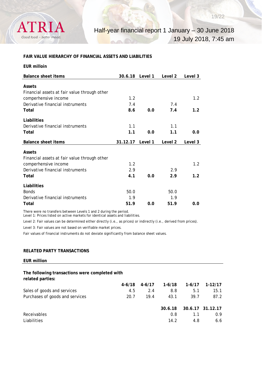

# **FAIR VALUE HIERARCHY OF FINANCIAL ASSETS AND LIABILITIES**

| <b>EUR milloin</b>                                                   |          |         |         |         |
|----------------------------------------------------------------------|----------|---------|---------|---------|
| <b>Balance sheet items</b>                                           | 30.6.18  | Level 1 | Level 2 | Level 3 |
| Assets<br>Financial assets at fair value through other               |          |         |         |         |
| comperhensive income                                                 | 1.2      |         |         | 1.2     |
| Derivative financial instruments                                     | 7.4      |         | 7.4     |         |
| Total                                                                | 8.6      | 0.0     | 7.4     | 1.2     |
| Liabilities                                                          |          |         |         |         |
| Derivative financial instruments                                     | 1.1      |         | 1.1     |         |
| Total                                                                | 1.1      | 0.0     | 1.1     | 0.0     |
|                                                                      |          |         |         |         |
| <b>Balance sheet items</b>                                           | 31.12.17 | Level 1 | Level 2 | Level 3 |
|                                                                      |          |         |         |         |
| <b>Assets</b>                                                        |          |         |         |         |
| Financial assets at fair value through other<br>comperhensive income | 1.2      |         |         | 1.2     |
| Derivative financial instruments                                     | 2.9      |         | 2.9     |         |
| Total                                                                | 4.1      | 0.0     | 2.9     | 1.2     |
|                                                                      |          |         |         |         |
| Liabilities<br><b>Bonds</b>                                          | 50.0     |         | 50.0    |         |
| Derivative financial instruments                                     | 1.9      |         | 1.9     |         |

There were no transfers between Levels 1 and 2 during the period.

Level 1: Prices listed on active markets for identical assets and liabilities.

Level 2: Fair values can be determined either directly (i.e., as prices) or indirectly (i.e., derived from prices).

Level 3: Fair values are not based on verifiable market prices.

Fair values of financial instruments do not deviate significantly from balance sheet values.

#### **RELATED PARTY TRANSACTIONS**

**EUR million**

#### **The following transactions were completed with related parties:**

|                                 | 4-6/18 | $4-6/17$ | 1-6/18  | $1-6/17$ | 1-12/17          |
|---------------------------------|--------|----------|---------|----------|------------------|
| Sales of goods and services     | 4.5    | 2.4      | 8.8     | 5.1      | 15.1             |
| Purchases of goods and services | 20.7   | 19.4     | 43.1    | 39.7     | 87.2             |
|                                 |        |          |         |          |                  |
|                                 |        |          | 30.6.18 |          | 30.6.17 31.12.17 |
| Receivables                     |        |          | 0.8     | 1.1      | 0.9              |
| Liabilities                     |        |          | 14.2    | 4.8      | 6.6              |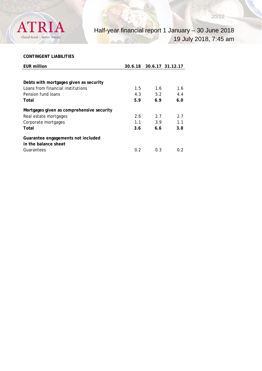

# **CONTINGENT LIABILITIES**

| <b>EUR million</b>                        | 30.6.18 |     | 30.6.17 31.12.17 |
|-------------------------------------------|---------|-----|------------------|
|                                           |         |     |                  |
| Debts with mortgages given as security    |         |     |                  |
| Loans from financial institutions         | 1.5     | 1.6 | 1.6              |
| Pension fund Joans                        | 4.3     | 5.2 | 4.4              |
| Total                                     | 5.9     | 6.9 | 6.0              |
| Mortgages given as comprehensive security |         |     |                  |
| Real estate mortgages                     | 2.6     | 2.7 | 2.7              |
| Corporate mortgages                       | 1.1     | 3.9 | 1.1              |
| Total                                     | 3.6     | 6.6 | 3.8              |
| Guarantee engagements not included        |         |     |                  |
| in the balance sheet                      |         |     |                  |
| Guarantees                                | 0.2     | 0.3 | 0.2              |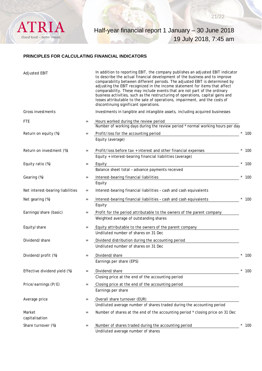

# **PRINCIPLES FOR CALCULATING FINANCIAL INDICATORS**

| <b>Adjusted EBIT</b>             |                   | In addition to reporting EBIT, the company publishes an adjusted EBIT indicator<br>to describe the actual financial development of the business and to improve<br>comparability between different periods. The adjusted EBIT is determined by<br>adjusting the EBIT recognized in the income statement for items that affect<br>comparability. These may include events that are not part of the ordinary<br>business activities, such as the restructuring of operations, capital gains and<br>losses attributable to the sale of operations, impairment, and the costs of<br>discontinuing significant operations. |                   |
|----------------------------------|-------------------|----------------------------------------------------------------------------------------------------------------------------------------------------------------------------------------------------------------------------------------------------------------------------------------------------------------------------------------------------------------------------------------------------------------------------------------------------------------------------------------------------------------------------------------------------------------------------------------------------------------------|-------------------|
| Gross investments                |                   | Investments in tangible and intangible assets, including acquired businesses                                                                                                                                                                                                                                                                                                                                                                                                                                                                                                                                         |                   |
| <b>FTE</b>                       |                   | Hours worked during the review period<br>Number of working days during the review period * normal working hours per day                                                                                                                                                                                                                                                                                                                                                                                                                                                                                              |                   |
| Return on equity (%)             | $\quad =$         | Profit/loss for the accounting period<br>Equity (average)                                                                                                                                                                                                                                                                                                                                                                                                                                                                                                                                                            | 100               |
| Return on investment (%)         | $=$               | Profit/loss before tax + interest and other financial expenses<br>Equity + interest-bearing financial liabilities (average)                                                                                                                                                                                                                                                                                                                                                                                                                                                                                          | 100               |
| Equity ratio (%)                 | $=$               | Equity                                                                                                                                                                                                                                                                                                                                                                                                                                                                                                                                                                                                               | 100               |
| Gearing (%)                      | $=$               | Balance sheet total - advance payments received<br>Interest-bearing financial liabilities                                                                                                                                                                                                                                                                                                                                                                                                                                                                                                                            | 100               |
|                                  |                   | Equity                                                                                                                                                                                                                                                                                                                                                                                                                                                                                                                                                                                                               |                   |
| Net interest-bearing liabilities | $=$               | Interest-bearing financial liabilities - cash and cash equivalents                                                                                                                                                                                                                                                                                                                                                                                                                                                                                                                                                   |                   |
| Net gearing (%)                  | $=$               | Interest-bearing financial liabilities - cash and cash equivalents<br>Equity                                                                                                                                                                                                                                                                                                                                                                                                                                                                                                                                         | 100               |
| Earnings/share (basic)           | $=$               | Profit for the period attributable to the owners of the parent company<br>Weighted average of outstanding shares                                                                                                                                                                                                                                                                                                                                                                                                                                                                                                     |                   |
| Equity/share                     | $\quad =$         | Equity attributable to the owners of the parent company<br>Undiluted number of shares on 31 Dec                                                                                                                                                                                                                                                                                                                                                                                                                                                                                                                      |                   |
| Dividend/share                   | $\equiv$          | Dividend distribution during the accounting period<br>Undiluted number of shares on 31 Dec                                                                                                                                                                                                                                                                                                                                                                                                                                                                                                                           |                   |
| Dividend/profit (%)              | $=$               | Dividend/share<br>Earnings per share (EPS)                                                                                                                                                                                                                                                                                                                                                                                                                                                                                                                                                                           | 100               |
| Effective dividend yield (%)     | $\quad =$         | Dividend/share<br>Closing price at the end of the accounting period                                                                                                                                                                                                                                                                                                                                                                                                                                                                                                                                                  | $^{\star}$<br>100 |
| Price/earnings (P/E)             | $\qquad \qquad =$ | Closing price at the end of the accounting period<br>Earnings per share                                                                                                                                                                                                                                                                                                                                                                                                                                                                                                                                              |                   |
| Average price                    | $=$               | Overall share turnover (EUR)<br>Undiluted average number of shares traded during the accounting period                                                                                                                                                                                                                                                                                                                                                                                                                                                                                                               |                   |
| Market<br>capitalisation         | $=$               | Number of shares at the end of the accounting period * closing price on 31 Dec                                                                                                                                                                                                                                                                                                                                                                                                                                                                                                                                       |                   |
| Share turnover (%)               | $=$               | Number of shares traded during the accounting period<br>Undiluted average number of shares                                                                                                                                                                                                                                                                                                                                                                                                                                                                                                                           | 100               |